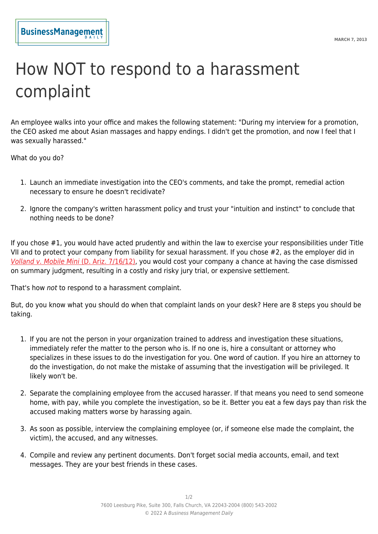## How NOT to respond to a harassment complaint

An employee walks into your office and makes the following statement: "During my interview for a promotion, the CEO asked me about Asian massages and happy endings. I didn't get the promotion, and now I feel that I was sexually harassed."

What do you do?

- 1. Launch an immediate investigation into the CEO's comments, and take the prompt, remedial action necessary to ensure he doesn't recidivate?
- 2. Ignore the company's written harassment policy and trust your "intuition and instinct" to conclude that nothing needs to be done?

If you chose #1, you would have acted prudently and within the law to exercise your responsibilities under Title VII and to protect your company from liability for sexual harassment. If you chose #2, as the employer did in [Volland v. Mobile Mini](http://scholar.google.com/scholar_case?case=14236244967841479607) [\(D. Ariz. 7/16/12\)](http://scholar.google.com/scholar_case?case=14236244967841479607), you would cost your company a chance at having the case dismissed on summary judgment, resulting in a costly and risky jury trial, or expensive settlement.

That's how not to respond to a harassment complaint.

But, do you know what you should do when that complaint lands on your desk? Here are 8 steps you should be taking.

- 1. If you are not the person in your organization trained to address and investigation these situations, immediately refer the matter to the person who is. If no one is, hire a consultant or attorney who specializes in these issues to do the investigation for you. One word of caution. If you hire an attorney to do the investigation, do not make the mistake of assuming that the investigation will be privileged. It likely won't be.
- 2. Separate the complaining employee from the accused harasser. If that means you need to send someone home, with pay, while you complete the investigation, so be it. Better you eat a few days pay than risk the accused making matters worse by harassing again.
- 3. As soon as possible, interview the complaining employee (or, if someone else made the complaint, the victim), the accused, and any witnesses.
- 4. Compile and review any pertinent documents. Don't forget social media accounts, email, and text messages. They are your best friends in these cases.